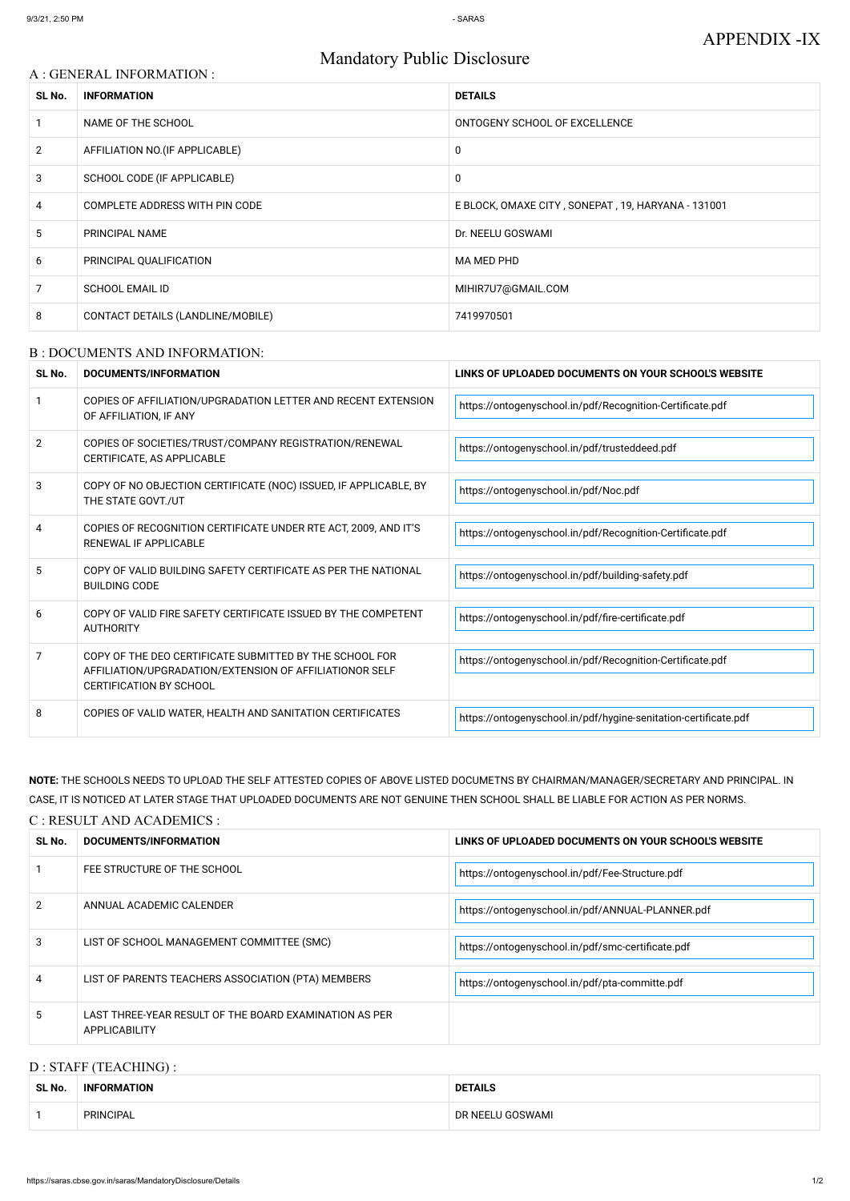# Mandatory Public Disclosure

## A : GENERAL INFORMATION :

| SL No.         | <b>INFORMATION</b>                | <b>DETAILS</b>                                     |
|----------------|-----------------------------------|----------------------------------------------------|
|                | NAME OF THE SCHOOL                | ONTOGENY SCHOOL OF EXCELLENCE                      |
| $\overline{2}$ | AFFILIATION NO. (IF APPLICABLE)   | $\mathbf 0$                                        |
| 3              | SCHOOL CODE (IF APPLICABLE)       | 0                                                  |
| 4              | COMPLETE ADDRESS WITH PIN CODE    | E BLOCK, OMAXE CITY, SONEPAT, 19, HARYANA - 131001 |
| 5              | PRINCIPAL NAME                    | Dr. NEELU GOSWAMI                                  |
| 6              | PRINCIPAL QUALIFICATION           | MA MED PHD                                         |
| 7              | <b>SCHOOL EMAIL ID</b>            | MIHIR7U7@GMAIL.COM                                 |
| 8              | CONTACT DETAILS (LANDLINE/MOBILE) | 7419970501                                         |

#### B : DOCUMENTS AND INFORMATION:

| SL No.         | <b>DOCUMENTS/INFORMATION</b>                                                                                                                         | LINKS OF UPLOADED DOCUMENTS ON YOUR SCHOOL'S WEBSITE            |  |
|----------------|------------------------------------------------------------------------------------------------------------------------------------------------------|-----------------------------------------------------------------|--|
|                | COPIES OF AFFILIATION/UPGRADATION LETTER AND RECENT EXTENSION<br>OF AFFILIATION, IF ANY                                                              | https://ontogenyschool.in/pdf/Recognition-Certificate.pdf       |  |
| $\overline{2}$ | COPIES OF SOCIETIES/TRUST/COMPANY REGISTRATION/RENEWAL<br>CERTIFICATE, AS APPLICABLE                                                                 | https://ontogenyschool.in/pdf/trusteddeed.pdf                   |  |
| 3              | COPY OF NO OBJECTION CERTIFICATE (NOC) ISSUED, IF APPLICABLE, BY<br>THE STATE GOVT./UT                                                               | https://ontogenyschool.in/pdf/Noc.pdf                           |  |
| 4              | COPIES OF RECOGNITION CERTIFICATE UNDER RTE ACT, 2009, AND IT'S<br>RENEWAL IF APPLICABLE                                                             | https://ontogenyschool.in/pdf/Recognition-Certificate.pdf       |  |
| 5              | COPY OF VALID BUILDING SAFETY CERTIFICATE AS PER THE NATIONAL<br><b>BUILDING CODE</b>                                                                | https://ontogenyschool.in/pdf/building-safety.pdf               |  |
| 6              | COPY OF VALID FIRE SAFETY CERTIFICATE ISSUED BY THE COMPETENT<br><b>AUTHORITY</b>                                                                    | https://ontogenyschool.in/pdf/fire-certificate.pdf              |  |
| 7              | COPY OF THE DEO CERTIFICATE SUBMITTED BY THE SCHOOL FOR<br>AFFILIATION/UPGRADATION/EXTENSION OF AFFILIATIONOR SELF<br><b>CERTIFICATION BY SCHOOL</b> | https://ontogenyschool.in/pdf/Recognition-Certificate.pdf       |  |
| 8              | COPIES OF VALID WATER, HEALTH AND SANITATION CERTIFICATES                                                                                            | https://ontogenyschool.in/pdf/hygine-senitation-certificate.pdf |  |

# **NOTE:** THE SCHOOLS NEEDS TO UPLOAD THE SELF ATTESTED COPIES OF ABOVE LISTED DOCUMETNS BY CHAIRMAN/MANAGER/SECRETARY AND PRINCIPAL. IN CASE, IT IS NOTICED AT LATER STAGE THAT UPLOADED DOCUMENTS ARE NOT GENUINE THEN SCHOOL SHALL BE LIABLE FOR ACTION AS PER NORMS.

#### C : RESULT AND ACADEMICS :

| SL No. | DOCUMENTS/INFORMATION                                                          | LINKS OF UPLOADED DOCUMENTS ON YOUR SCHOOL'S WEBSITE |
|--------|--------------------------------------------------------------------------------|------------------------------------------------------|
|        | FEE STRUCTURE OF THE SCHOOL                                                    | https://ontogenyschool.in/pdf/Fee-Structure.pdf      |
|        | ANNUAL ACADEMIC CALENDER                                                       | https://ontogenyschool.in/pdf/ANNUAL-PLANNER.pdf     |
| 3      | LIST OF SCHOOL MANAGEMENT COMMITTEE (SMC)                                      | https://ontogenyschool.in/pdf/smc-certificate.pdf    |
| 4      | LIST OF PARENTS TEACHERS ASSOCIATION (PTA) MEMBERS                             | https://ontogenyschool.in/pdf/pta-committe.pdf       |
| 5.     | LAST THREE-YEAR RESULT OF THE BOARD EXAMINATION AS PER<br><b>APPLICABILITY</b> |                                                      |

# D : STAFF (TEACHING) :

| SL No. | <b>INFORMATION</b> | <b>DETAILS</b>   |
|--------|--------------------|------------------|
|        | PRINCIPAL          | DR NEELU GOSWAMI |